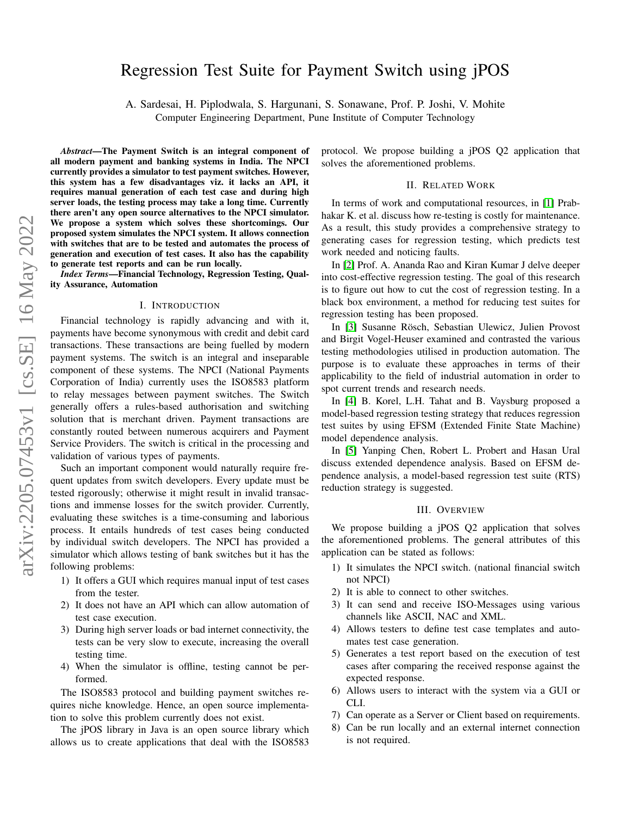# Regression Test Suite for Payment Switch using jPOS

A. Sardesai, H. Piplodwala, S. Hargunani, S. Sonawane, Prof. P. Joshi, V. Mohite

Computer Engineering Department, Pune Institute of Computer Technology

*Abstract*—The Payment Switch is an integral component of all modern payment and banking systems in India. The NPCI currently provides a simulator to test payment switches. However, this system has a few disadvantages viz. it lacks an API, it requires manual generation of each test case and during high server loads, the testing process may take a long time. Currently there aren't any open source alternatives to the NPCI simulator. We propose a system which solves these shortcomings. Our proposed system simulates the NPCI system. It allows connection with switches that are to be tested and automates the process of generation and execution of test cases. It also has the capability to generate test reports and can be run locally.

*Index Terms*—Financial Technology, Regression Testing, Quality Assurance, Automation

#### I. INTRODUCTION

Financial technology is rapidly advancing and with it, payments have become synonymous with credit and debit card transactions. These transactions are being fuelled by modern payment systems. The switch is an integral and inseparable component of these systems. The NPCI (National Payments Corporation of India) currently uses the ISO8583 platform to relay messages between payment switches. The Switch generally offers a rules-based authorisation and switching solution that is merchant driven. Payment transactions are constantly routed between numerous acquirers and Payment Service Providers. The switch is critical in the processing and validation of various types of payments.

Such an important component would naturally require frequent updates from switch developers. Every update must be tested rigorously; otherwise it might result in invalid transactions and immense losses for the switch provider. Currently, evaluating these switches is a time-consuming and laborious process. It entails hundreds of test cases being conducted by individual switch developers. The NPCI has provided a simulator which allows testing of bank switches but it has the following problems:

- 1) It offers a GUI which requires manual input of test cases from the tester.
- 2) It does not have an API which can allow automation of test case execution.
- 3) During high server loads or bad internet connectivity, the tests can be very slow to execute, increasing the overall testing time.
- 4) When the simulator is offline, testing cannot be performed.

The ISO8583 protocol and building payment switches requires niche knowledge. Hence, an open source implementation to solve this problem currently does not exist.

The jPOS library in Java is an open source library which allows us to create applications that deal with the ISO8583 protocol. We propose building a jPOS Q2 application that solves the aforementioned problems.

### II. RELATED WORK

In terms of work and computational resources, in [\[1\]](#page-2-0) Prabhakar K. et al. discuss how re-testing is costly for maintenance. As a result, this study provides a comprehensive strategy to generating cases for regression testing, which predicts test work needed and noticing faults.

In [\[2\]](#page-2-1) Prof. A. Ananda Rao and Kiran Kumar J delve deeper into cost-effective regression testing. The goal of this research is to figure out how to cut the cost of regression testing. In a black box environment, a method for reducing test suites for regression testing has been proposed.

In [\[3\]](#page-2-2) Susanne Rösch, Sebastian Ulewicz, Julien Provost and Birgit Vogel-Heuser examined and contrasted the various testing methodologies utilised in production automation. The purpose is to evaluate these approaches in terms of their applicability to the field of industrial automation in order to spot current trends and research needs.

In [\[4\]](#page-2-3) B. Korel, L.H. Tahat and B. Vaysburg proposed a model-based regression testing strategy that reduces regression test suites by using EFSM (Extended Finite State Machine) model dependence analysis.

In [\[5\]](#page-2-4) Yanping Chen, Robert L. Probert and Hasan Ural discuss extended dependence analysis. Based on EFSM dependence analysis, a model-based regression test suite (RTS) reduction strategy is suggested.

## III. OVERVIEW

We propose building a jPOS Q2 application that solves the aforementioned problems. The general attributes of this application can be stated as follows:

- 1) It simulates the NPCI switch. (national financial switch not NPCI)
- 2) It is able to connect to other switches.
- 3) It can send and receive ISO-Messages using various channels like ASCII, NAC and XML.
- 4) Allows testers to define test case templates and automates test case generation.
- 5) Generates a test report based on the execution of test cases after comparing the received response against the expected response.
- 6) Allows users to interact with the system via a GUI or CLI.
- 7) Can operate as a Server or Client based on requirements.
- 8) Can be run locally and an external internet connection is not required.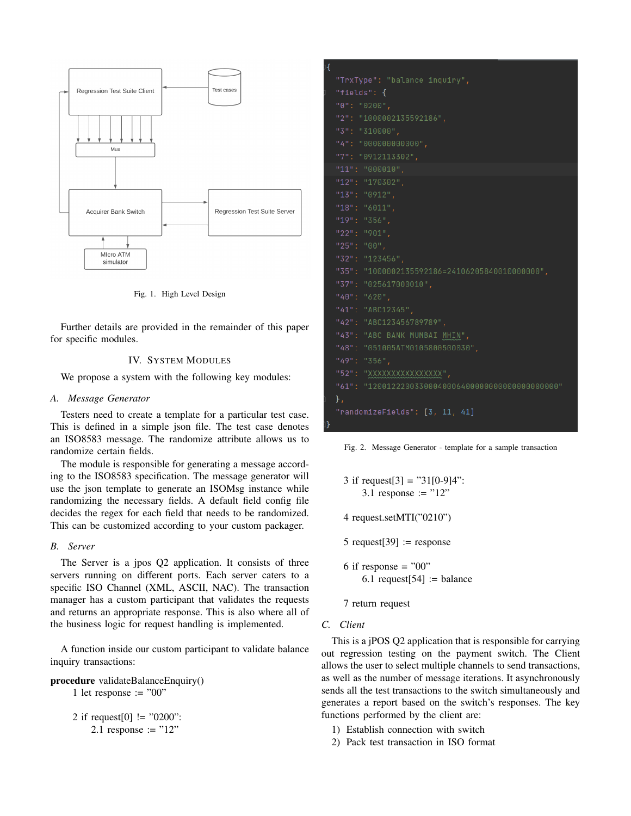

Fig. 1. High Level Design

Further details are provided in the remainder of this paper for specific modules.

#### IV. SYSTEM MODULES

We propose a system with the following key modules:

### *A. Message Generator*

Testers need to create a template for a particular test case. This is defined in a simple json file. The test case denotes an ISO8583 message. The randomize attribute allows us to randomize certain fields.

The module is responsible for generating a message according to the ISO8583 specification. The message generator will use the json template to generate an ISOMsg instance while randomizing the necessary fields. A default field config file decides the regex for each field that needs to be randomized. This can be customized according to your custom packager.

## *B. Server*

The Server is a jpos Q2 application. It consists of three servers running on different ports. Each server caters to a specific ISO Channel (XML, ASCII, NAC). The transaction manager has a custom participant that validates the requests and returns an appropriate response. This is also where all of the business logic for request handling is implemented.

A function inside our custom participant to validate balance inquiry transactions:

procedure validateBalanceEnquiry() 1 let response  $:=$  "00"

> 2 if request [0]  $! = "0200"$ : 2.1 response :=  $"12"$

| н |                                                    |
|---|----------------------------------------------------|
|   | "TrxType": "balance inquiry",                      |
|   | "fields": {                                        |
|   | "0": "0200",                                       |
|   | "2": "1000002135592186",                           |
|   | "3": "310000",                                     |
|   | "4": "000000000000",                               |
|   | "7": "0912113302",                                 |
|   | "11": "000010",                                    |
|   | "12": "170302",                                    |
|   | "13": "0912",                                      |
|   | " $18"$ : "6011",                                  |
|   | "19": "356",                                       |
|   | "22": "901",                                       |
|   | "25": "00",                                        |
|   | "32": "123456",                                    |
|   | "35": "1000002135592186=24106205840010000000",     |
|   | "37": "025617000010",                              |
|   | $"40"$ : $"620"$ ,                                 |
|   | "41": "ABC12345",                                  |
|   | "42": "ABC123456789789",                           |
|   | "43": "ABC BANK MUMBAI MHIN",                      |
|   | "48": "051005ATM0105800500030",                    |
|   | "49": "356",                                       |
|   | "52": "XXXXXXXXXXXXXXX",                           |
|   | "61": "120012220033000400064000000000000000000000" |
|   | $\}$ ,                                             |
|   | "randomizeFields": [3, 11, 41]                     |
|   |                                                    |

Fig. 2. Message Generator - template for a sample transaction

- 3 if request[3] = "31[0-9]4": 3.1 response :=  $"12"$
- 4 request.setMTI("0210")
- 5 request $[39]$  := response
- 6 if response  $=$  "00" 6.1 request $[54] := \text{balance}$
- 7 return request
- *C. Client*

This is a jPOS Q2 application that is responsible for carrying out regression testing on the payment switch. The Client allows the user to select multiple channels to send transactions, as well as the number of message iterations. It asynchronously sends all the test transactions to the switch simultaneously and generates a report based on the switch's responses. The key functions performed by the client are:

- 1) Establish connection with switch
- 2) Pack test transaction in ISO format